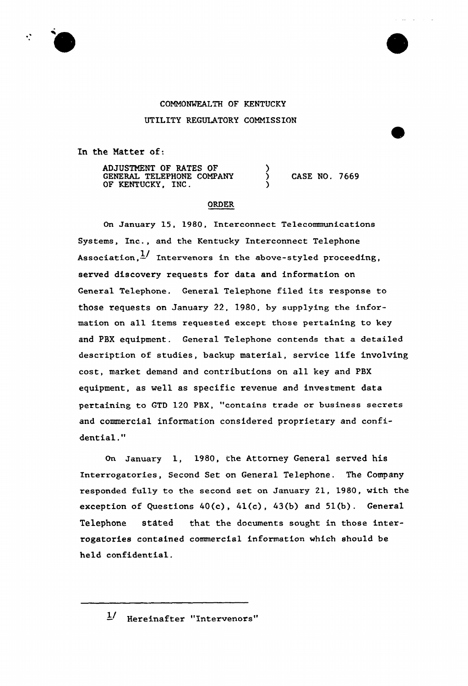## COMMONWEALTH OF KENTUCKY UTILITY REGULATORY COMMISSION

In the Matter of:

∵

ADJUSTMENT OF RATES OF GENERAL TELEPHONE COMPANY OF KENTUCKY, INC.

) CASE NO. 7669

 $\Delta\Delta\phi$  and  $\Delta\phi$ 

#### ORDER

)

)

On January 15, 1980, Interconnect Telecommunications Systems, Inc., and the Kentucky Interconnect Telephone Association, $\frac{1}{2}$  Intervenors in the above-styled proceeding, served discovery requests for data and information on General Telephone. General Telephone filed its response to those requests on January 22, 1980, by supplying the information on all items requested except those pertaining to key and PBX equipment. General Te1ephone contends that a detailed description of studies, backup material, service life involving cost, market demand and contributions on all key and PBX equipment, as well as specific revenue and investment data pertaining to GTD 120 PBX, "contains trade or business secrets and commercial information considered proprietary and confidential."

On January 1, 1980, the Attorney General served his Interrogatories, Second Set on General Telephone. The Company responded fully to the second set on January 21, 19SO, with the exception of Questions  $40(c)$ ,  $41(c)$ ,  $43(b)$  and  $51(b)$ . General Telephone stated that the documents sought in those interrogatories contained commercial information which should be held confidential.

 $1/$  Hereinafter "Intervenors"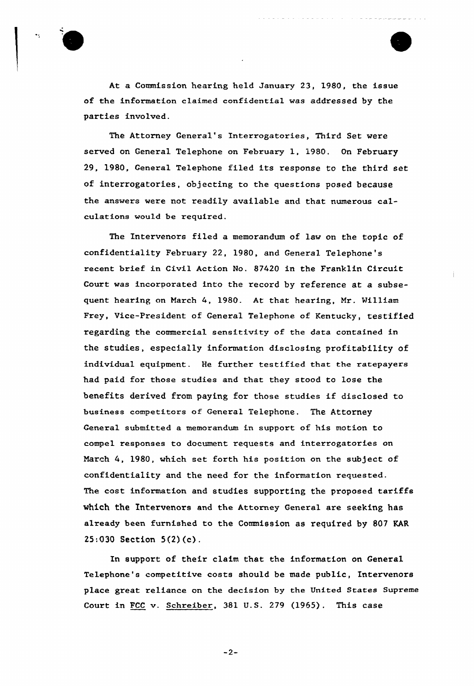

At a Commission heaxing held Januaxy 23, 1980, the issue of the information claimed confidential was addressed by the parties involved.

The Attorney General's Interxogatories, Third Set were served on General Telephone on February 1, 1980. On February 29, 1980, General Telephone filed its response to the third set of interrogatories, objecting to the questions posed because the answers were not readily available and that numerous calculations would be required.

The Intervenors filed a memorandum of law on the topic of confidentiality February 22, 1980, and General Telephone's recent brief in Civil Action No. 87420 in the Franklin Circuit Court was incorporated into the record by reference at a subsequent hearing on March 4, 1980. At that hearing, Mr. William Frey, Vice-President of General Telephone of Kentucky, testified regarding the commercial sensitivity of the data contained in the studies, especially information disclosing profitability of individual equipment. He further testified that the ratepayers had paid for those studies and that they stood to lose the benefits derived from paying for those studies if disclosed to business competitors of General Telephone. The Attorney General submitted a memorandum in support of his motion to compel responses to document requests and interrogatories on March 4, 1980, which set forth his position on the subject of confidentiality and the need for the information requested. The cost information and studies supporting the proposed tariffs which the Intervenors and the Attorney General are seeking has already been furnished to the Commission as required by 807 KAR 25:030 Section 5(2)(c).

In support of their claim that the information on General Telephone's competitive costs should be made public, Intervenors place great reliance on the decision by the United States Supreme Court in FCC v. Schreiber, 381 U.S. 279 (1965). This case

 $-2-$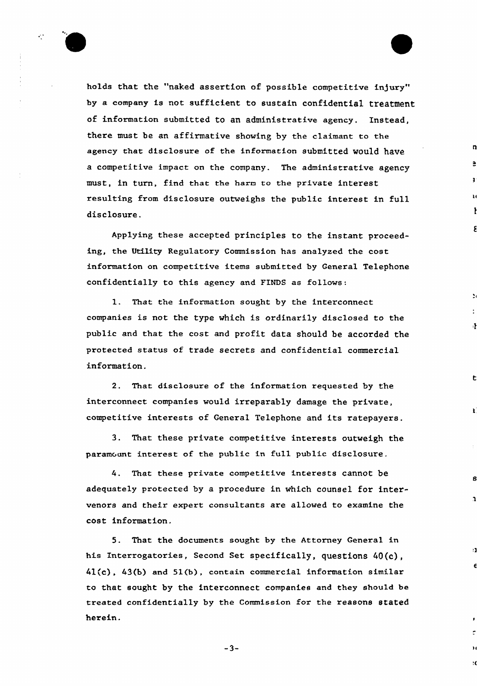

holds that the "naked assertion of possible competitive injury" by a company is not sufficient to sustain confidential treatment of information submitted to an administrative agency. Instead, there must be an affirmative showing by the claimant to the agency that disclosure of the information submitted would have a competitive impact on the company. The administrative agency must, in turn, find that the harn to the private interest resulting from disclosure outweighs the public interest in full disclosure.

Applying these accepted principles to the instant proceeding, the Utility Regulatory Commission has analyzed the cost information on competitive items submitted by General Telephone confidentially to this agency and FINDS as follows:

1. That the information sought by the interconnect companies is not the type which is ordinarily disclosed to the public and that the cost and profit data should be accorded the protected status of trade secrets and confidential commercial information.

吐

¥

 $\mathbf{a}$ 

 $\mathbf{1}$ 

2. That disclosure of the information requested by the interconnect companies would irreparably damage the private, competitive interests of General Telephone and its ratepayers.

3. That these private competitive interests outweigh the paramount interest of the public in full public disclosure.

4. That these private competitive interests cannot be adequately protected by a procedure in which counsel for intervenors and their expert consultants are allowed to examine the cost information.

5. That the documents sought by the Attorney General in his Interrogatories, Second Set specifically, questions 40{c), 41(c), 43(b) and 51(b), contain commercial information similar to that sought by the interconnect companies end they should be treated confidentially by the Commission fox the reasons stated herein.

 $-3-$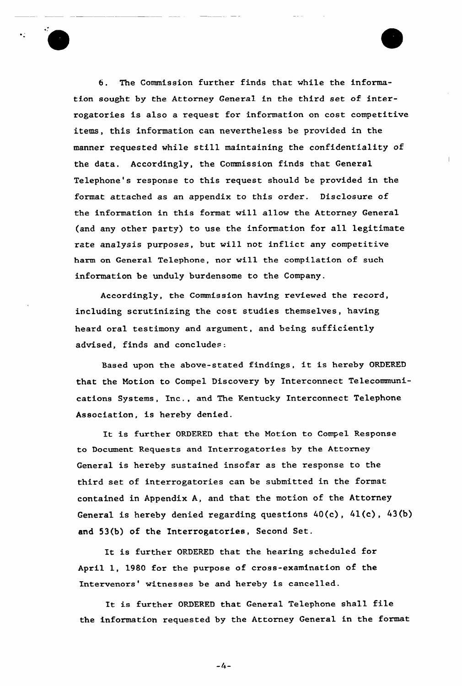6. The Commission further finds that while the information sought by the Attorney General in the third set of interrogatories is also a request for information on cost competitive items, this information can nevertheless be provided in the manner requested while still maintaining the confidentiality of the data. Accordingly, the Commission finds that General Telephone's response to this request should be provided in the format attached as an appendix to this order. Disclosure of the information in this format will allow the Attorney General (and any other party) to use the information for all legitimate rate analysis purposes, but will not inflict any competitive harm on General Telephone, nor will the compilation of such information be unduly burdensome to the Company.

Accordingly, the Commission having reviewed the record, including scrutinizing the cost studies themselves, having heard oral testimony and argument, and being sufficiently advised, finds and concludes:

Based upon the above-seated findings, it is hereby ORDERED that the Notion to Compel Discovery by Interconnect Telecommunications Systems, Inc., and The Kentucky Interconnect Telephone Association, is hereby denied.

It is further ORDERED that the Notion to Compel Response to Document Requests and Interrogatories by the Attorney General is hereby sustained insofar as the response to the third set of interrogatories can be submitted in the format contained in Appendix A, and that the motion of the Attorney General is hereby denied regarding questions 40(c), 41(c), 43(b) and 53(b) of the Interrogatories, Second Set.

It is further ORDERED that the hearing scheduled for April 1, 1980 for the purpose of cross-examination of the Intervenors' witnesses be and hereby is cancelled.

It is further ORDERED that General Telephone shall file the information requested by the Attorney General in the format

 $-4-$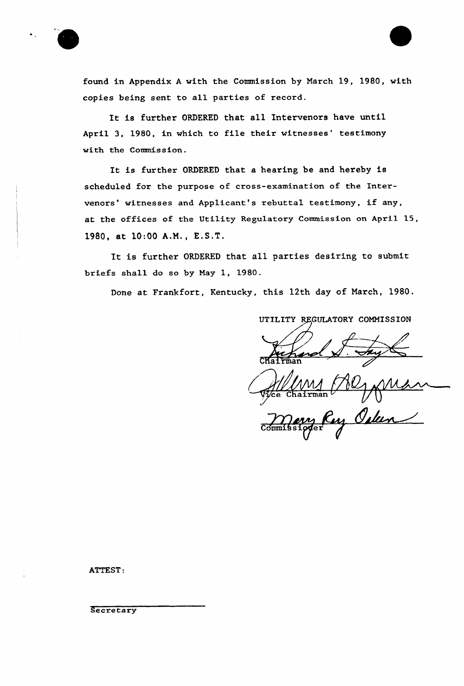

found in Appendix <sup>A</sup> with the Commission by March 19, 1980, with copies being sent to all parties of record.

It is further ORDERED that all Intervenors have until April 3, 1980, in which to file their witnesses' testimony with the Commission.

It is further ORDERED that <sup>a</sup> hearing be and hereby is scheduled for the purpose of cross-examination of the Intervenors' witnesses and Applicant's rebuttal testimony, if any, at the offices of the Utility Regulatory Commission on April 15, 1980, at 10:00 A.M., E.S.T.

It is further ORDERED that all parties desiring to submit briefs shall do so by Nay 1, 1980.

Done at Frankfort, Kentucky, this 12th day of March, 1980.

UTILITY REGULATORY COMMISSION

 $\mathtt{CHaIFma}$ 

Ce Chairman V Oly Mhan

ATTEST:

**Secretary**